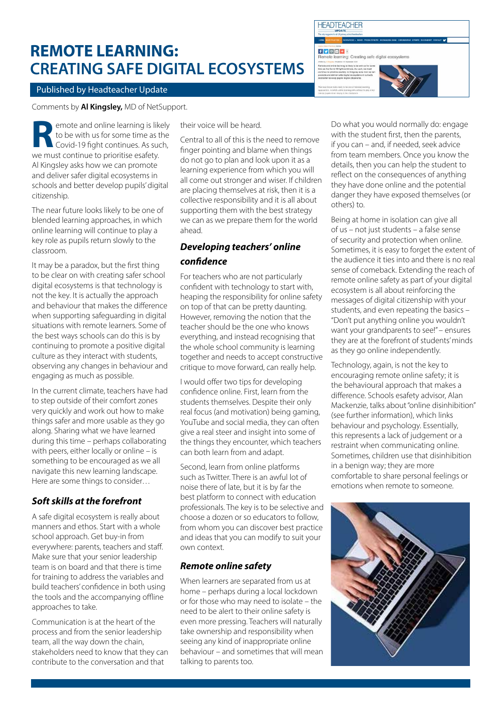# **REMOTE LEARNING: CREATING SAFE DIGITAL ECOSYSTEMS**

 $f|y|z|$ ote learning: Creating safe digital ecosystems

## Published by Headteacher Update

Comments by **Al Kingsley,** MD of NetSupport.

emote and online learning is likely to be with us for some time as the Covid-19 fight continues. As such, **R** emote and online learning is like to be with us for some time as the Covid-19 fight continues. As sure must continue to prioritise esafety. Al Kingsley asks how we can promote and deliver safer digital ecosystems in schools and better develop pupils' digital citizenship.

The near future looks likely to be one of blended learning approaches, in which online learning will continue to play a key role as pupils return slowly to the classroom.

It may be a paradox, but the first thing to be clear on with creating safer school digital ecosystems is that technology is not the key. It is actually the approach and behaviour that makes the difference when supporting safeguarding in digital situations with remote learners. Some of the best ways schools can do this is by continuing to promote a positive digital culture as they interact with students, observing any changes in behaviour and engaging as much as possible.

In the current climate, teachers have had to step outside of their comfort zones very quickly and work out how to make things safer and more usable as they go along. Sharing what we have learned during this time – perhaps collaborating with peers, either locally or online – is something to be encouraged as we all navigate this new learning landscape. Here are some things to consider…

## *Soft skills at the forefront*

A safe digital ecosystem is really about manners and ethos. Start with a whole school approach. Get buy-in from everywhere: parents, teachers and staff. Make sure that your senior leadership team is on board and that there is time for training to address the variables and build teachers' confidence in both using the tools and the accompanying offline approaches to take.

Communication is at the heart of the process and from the senior leadership team, all the way down the chain, stakeholders need to know that they can contribute to the conversation and that

their voice will be heard.

Central to all of this is the need to remove finger pointing and blame when things do not go to plan and look upon it as a learning experience from which you will all come out stronger and wiser. If children are placing themselves at risk, then it is a collective responsibility and it is all about supporting them with the best strategy we can as we prepare them for the world ahead.

## *Developing teachers' online confidence*

For teachers who are not particularly confident with technology to start with, heaping the responsibility for online safety on top of that can be pretty daunting. However, removing the notion that the teacher should be the one who knows everything, and instead recognising that the whole school community is learning together and needs to accept constructive critique to move forward, can really help.

I would offer two tips for developing confidence online. First, learn from the students themselves. Despite their only real focus (and motivation) being gaming, YouTube and social media, they can often give a real steer and insight into some of the things they encounter, which teachers can both learn from and adapt.

Second, learn from online platforms such as Twitter. There is an awful lot of noise there of late, but it is by far the best platform to connect with education professionals. The key is to be selective and choose a dozen or so educators to follow, from whom you can discover best practice and ideas that you can modify to suit your own context.

## *Remote online safety*

When learners are separated from us at home – perhaps during a local lockdown or for those who may need to isolate – the need to be alert to their online safety is even more pressing. Teachers will naturally take ownership and responsibility when seeing any kind of inappropriate online behaviour – and sometimes that will mean talking to parents too.

Do what you would normally do: engage with the student first, then the parents, if you can – and, if needed, seek advice from team members. Once you know the details, then you can help the student to reflect on the consequences of anything they have done online and the potential danger they have exposed themselves (or others) to.

Being at home in isolation can give all of us – not just students – a false sense of security and protection when online. Sometimes, it is easy to forget the extent of the audience it ties into and there is no real sense of comeback. Extending the reach of remote online safety as part of your digital ecosystem is all about reinforcing the messages of digital citizenship with your students, and even repeating the basics – "Don't put anything online you wouldn't want your grandparents to see!" – ensures they are at the forefront of students' minds as they go online independently.

Technology, again, is not the key to encouraging remote online safety; it is the behavioural approach that makes a difference. Schools esafety advisor, Alan Mackenzie, talks about "online disinhibition" (see further information), which links behaviour and psychology. Essentially, this represents a lack of judgement or a restraint when communicating online. Sometimes, children use that disinhibition in a benign way; they are more comfortable to share personal feelings or emotions when remote to someone.